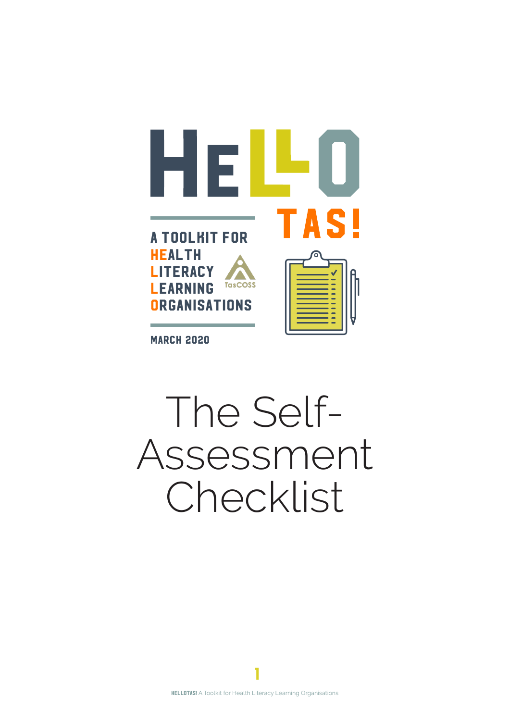

**MARCH 2020** 

# The Self-Assessment Checklist

1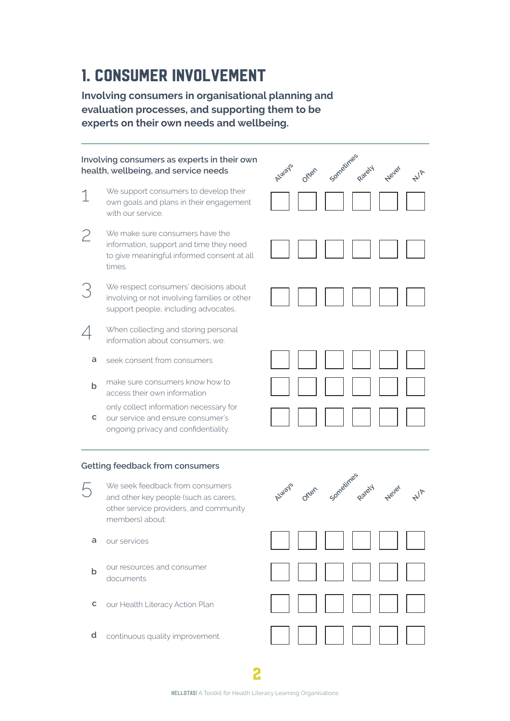## 1. Consumer involvement

**Involving consumers in organisational planning and evaluation processes, and supporting them to be experts on their own needs and wellbeing.**

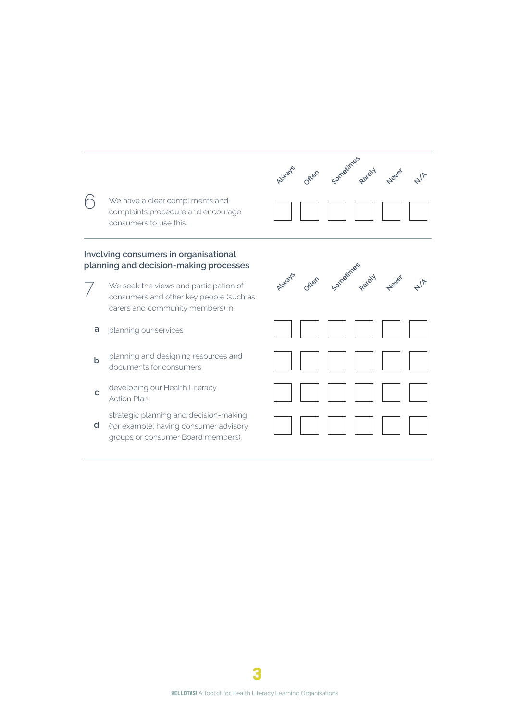

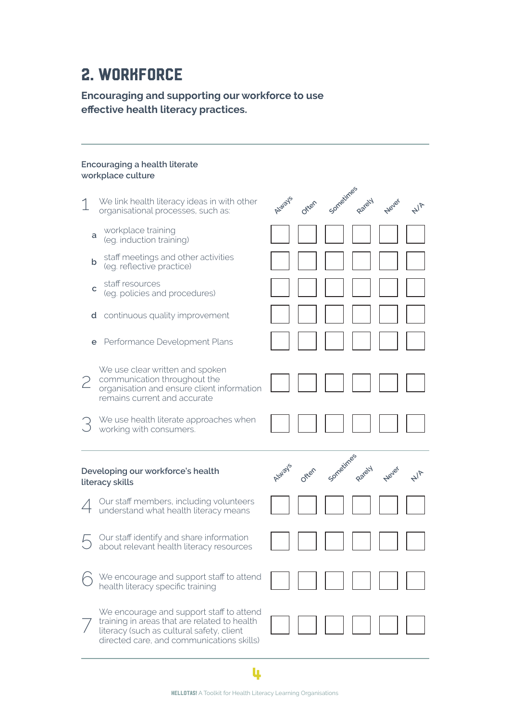## 2. WORKFORCE

### **Encouraging and supporting our workforce to use effective health literacy practices.**

#### **Encouraging a health literate workplace culture**

|   | We link health literacy ideas in with other<br>organisational processes, such as:                                                             | Atylays | Often |  | Never |  |
|---|-----------------------------------------------------------------------------------------------------------------------------------------------|---------|-------|--|-------|--|
| a | workplace training<br>(eg. induction training)                                                                                                |         |       |  |       |  |
| b | staff meetings and other activities<br>(eg. reflective practice)                                                                              |         |       |  |       |  |
| C | staff resources<br>(eg. policies and procedures)                                                                                              |         |       |  |       |  |
| d | continuous quality improvement                                                                                                                |         |       |  |       |  |
| е | Performance Development Plans                                                                                                                 |         |       |  |       |  |
| 2 | We use clear written and spoken<br>communication throughout the<br>organisation and ensure client information<br>remains current and accurate |         |       |  |       |  |
|   | We use health literate approaches when<br>working with consumers.                                                                             |         |       |  |       |  |
|   |                                                                                                                                               |         |       |  |       |  |
|   | Developing our workforce's health<br>literacy skills                                                                                          |         | Often |  | Never |  |
|   | Our staff members, including volunteers<br>understand what health literacy means                                                              |         |       |  |       |  |
|   | Our staff identify and share information<br>about relevant health literacy resources                                                          |         |       |  |       |  |
|   | We encourage and support staff to attend<br>health literacy specific training                                                                 |         |       |  |       |  |

4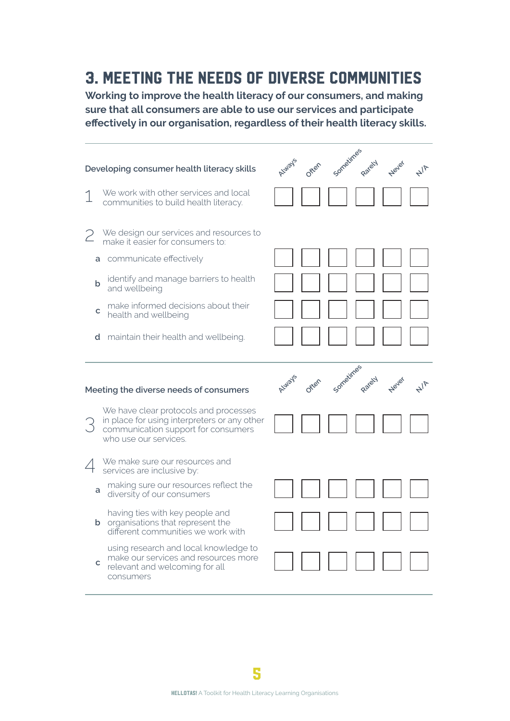## 3. meeting the needs of diverse communities

**Working to improve the health literacy of our consumers, and making sure that all consumers are able to use our services and participate effectively in our organisation, regardless of their health literacy skills.**

|   | Developing consumer health literacy skills                                                                                                            | ALWays | Offen | Sometimes | Never | $4\sqrt{2}$ |
|---|-------------------------------------------------------------------------------------------------------------------------------------------------------|--------|-------|-----------|-------|-------------|
|   | We work with other services and local<br>communities to build health literacy.                                                                        |        |       |           |       |             |
|   | We design our services and resources to<br>make it easier for consumers to:                                                                           |        |       |           |       |             |
|   | a communicate effectively                                                                                                                             |        |       |           |       |             |
| b | identify and manage barriers to health<br>and wellbeing                                                                                               |        |       |           |       |             |
| с | make informed decisions about their<br>health and wellbeing                                                                                           |        |       |           |       |             |
|   | <b>d</b> maintain their health and wellbeing.                                                                                                         |        |       |           |       |             |
|   |                                                                                                                                                       |        |       |           |       |             |
|   | Meeting the diverse needs of consumers                                                                                                                |        | Often |           | Never |             |
|   | We have clear protocols and processes<br>in place for using interpreters or any other<br>communication support for consumers<br>who use our services. |        |       |           |       |             |
|   | We make sure our resources and<br>services are inclusive by:                                                                                          |        |       |           |       |             |
| a | making sure our resources reflect the<br>diversity of our consumers                                                                                   |        |       |           |       |             |
|   | having ties with key people and<br><b>b</b> organisations that represent the<br>different communities we work with                                    |        |       |           |       |             |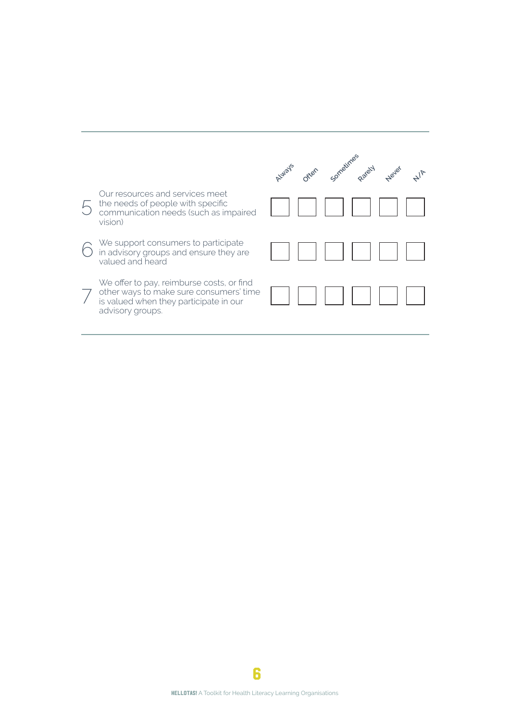|                                                                                                                                                    | utilizer cometime oxiely relief |
|----------------------------------------------------------------------------------------------------------------------------------------------------|---------------------------------|
| Our resources and services meet<br>the needs of people with specific<br>communication needs (such as impaired<br>vision)                           |                                 |
| We support consumers to participate<br>in advisory groups and ensure they are<br>valued and heard                                                  |                                 |
| We offer to pay, reimburse costs, or find<br>other ways to make sure consumers' time<br>is valued when they participate in our<br>advisory groups. |                                 |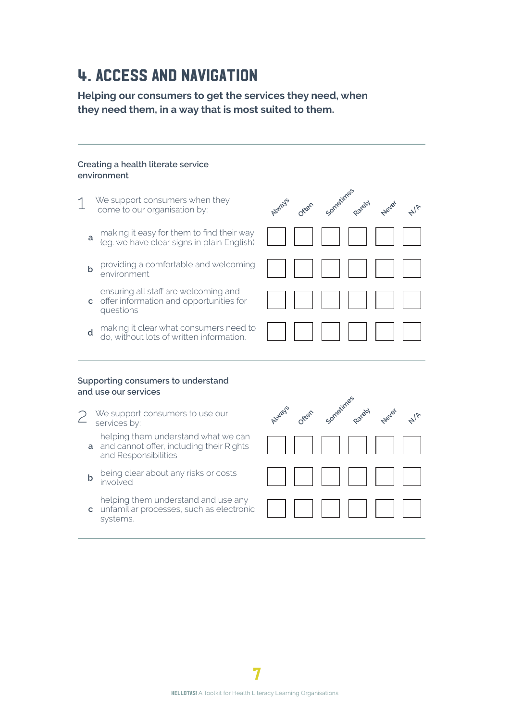## 4. access and navigation

**Helping our consumers to get the services they need, when they need them, in a way that is most suited to them.**

#### **Creating a health literate service environment**

- We support consumers when they come to our organisation by: **a** making it easy for them to find their way (eg. we have clear signs in plain English) **b** providing a comfortable and welcoming environment **c** offer information and opportunities for ensuring all staff are welcoming and **Always Often Sometimes Rarely Never**
- **d** making it clear what consumers need to do, without lots of written information.

|  | <b>ANANAMI</b> |  |  |
|--|----------------|--|--|

 $A/\sqrt{2}$ 

#### **Supporting consumers to understand and use our services**

questions

systems.

2 We support consumers to use our services by:

**a** and cannot offer, including their Rights helping them understand what we can and Responsibilities

**b** being clear about any risks or costs involved

**c** unfamiliar processes, such as electronic helping them understand and use any

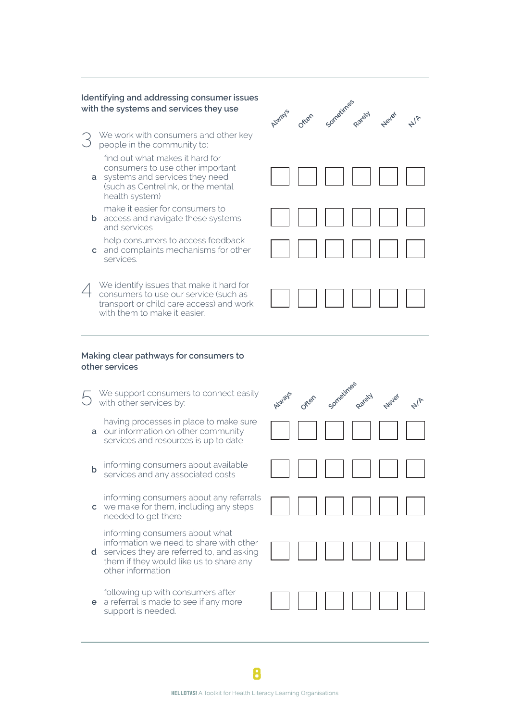#### **Identifying and addressing consumer issues with the systems and services they use**

We work with consumers and other key people in the community to:

find out what makes it hard for consumers to use other important

**a** systems and services they need (such as Centrelink, or the mental health system)

make it easier for consumers to

- **b** access and navigate these systems and services
- **c** and complaints mechanisms for other help consumers to access feedback services.
- 4 We identify issues that make it hard for consumers to use our service (such as transport or child care access) and work with them to make it easier.

# **Always Often** Sometimes **Neve**  $A/\sqrt{2}$

#### **Making clear pathways for consumers to other services**

- We support consumers to connect easily with other services by:
- **a** our information on other community having processes in place to make sure services and resources is up to date
- **b** informing consumers about available services and any associated costs
- **c** we make for them, including any steps informing consumers about any referrals needed to get there

informing consumers about what information we need to share with other

- **d** services they are referred to, and asking them if they would like us to share any other information
	- following up with consumers after
- **e** a referral is made to see if any more support is needed.

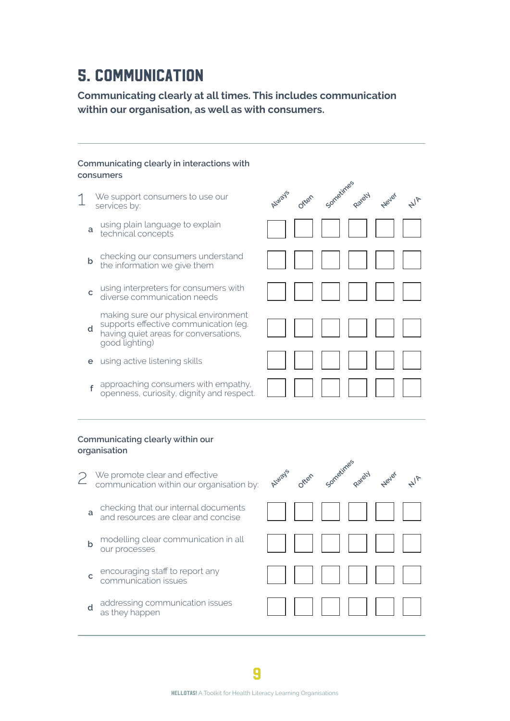## 5. communication

**Communicating clearly at all times. This includes communication within our organisation, as well as with consumers.**

### **Communicating clearly in interactions with consumers** 1 We support consumers to use our services by: **<sup>a</sup>** using plain language to explain a technical concepts **b** checking our consumers understand the information we give them **c** using interpreters for consumers with diverse communication needs **d** supports effective communication (eg. making sure our physical environment having quiet areas for conversations, good lighting) **e** using active listening skills **<sup>f</sup>** approaching consumers with empathy, openness, curiosity, dignity and respect. **Communicating clearly within our Always Often Sometimes Rarely Never**

 $4\sqrt{5}$ 

## **organisation**

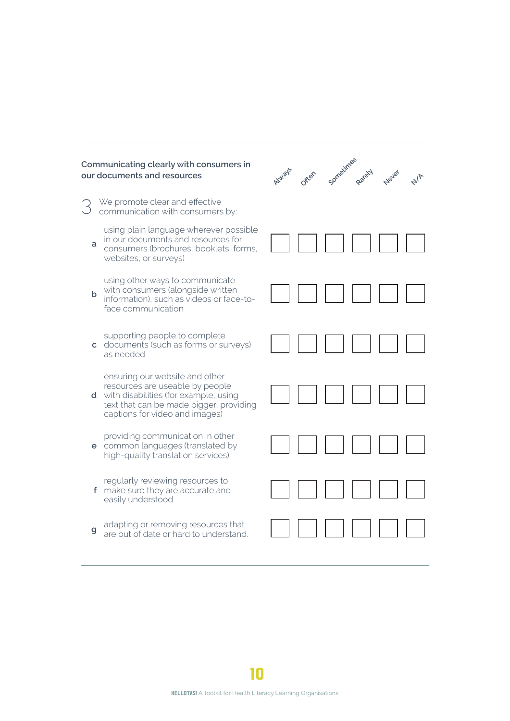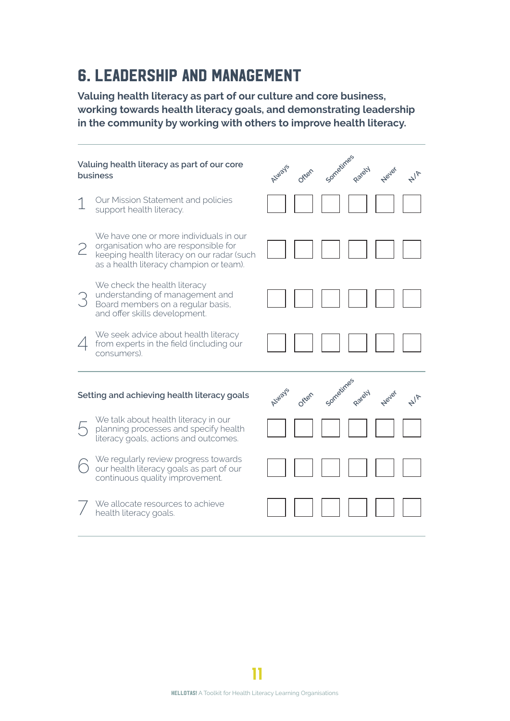## 6. leadership and management

**Valuing health literacy as part of our culture and core business, working towards health literacy goals, and demonstrating leadership in the community by working with others to improve health literacy.**

| Valuing health literacy as part of our core<br>business |                                                                                                                                                                         | <b>Sometim</b><br>Never |
|---------------------------------------------------------|-------------------------------------------------------------------------------------------------------------------------------------------------------------------------|-------------------------|
|                                                         | Our Mission Statement and policies<br>support health literacy.                                                                                                          |                         |
| 2                                                       | We have one or more individuals in our<br>organisation who are responsible for<br>keeping health literacy on our radar (such<br>as a health literacy champion or team). |                         |
| 3                                                       | We check the health literacy<br>understanding of management and<br>Board members on a regular basis,<br>and offer skills development.                                   |                         |
|                                                         | We seek advice about health literacy<br>from experts in the field (including our<br>consumers).                                                                         |                         |
|                                                         | Setting and achieving health literacy goals                                                                                                                             |                         |
|                                                         | We talk about health literacy in our<br>planning processes and specify health<br>literacy goals, actions and outcomes.                                                  |                         |
|                                                         | We regularly review progress towards<br>our health literacy goals as part of our<br>continuous quality improvement.                                                     |                         |
|                                                         | We allocate resources to achieve<br>health literacy goals.                                                                                                              |                         |